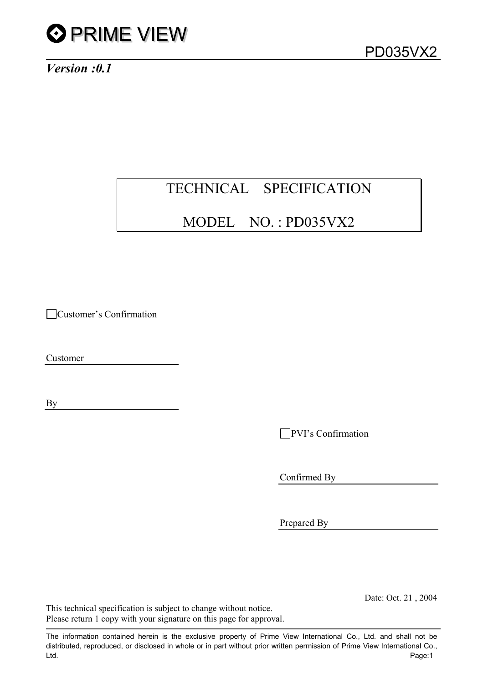

*Version :0.1* 

# TECHNICAL SPECIFICATION

# MODEL NO. : PD035VX2

Customer's Confirmation

Customer

By

PVI's Confirmation

Confirmed By

Prepared By

Date: Oct. 21 , 2004

This technical specification is subject to change without notice. Please return 1 copy with your signature on this page for approval.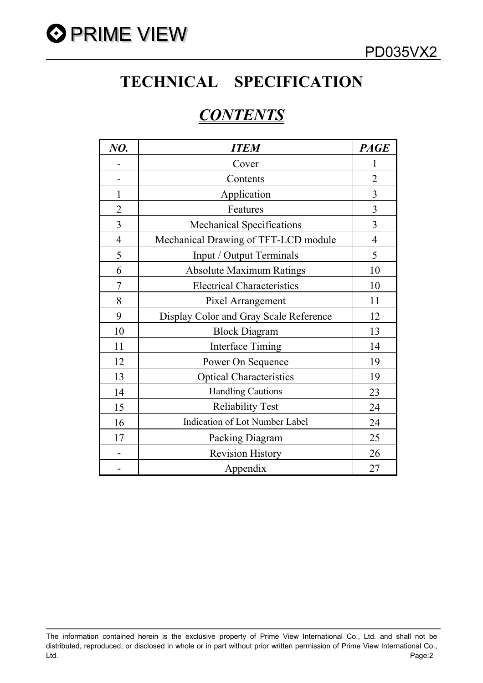

# **TECHNICAL SPECIFICATION**

# *CONTENTS*

| NO.            | <b>ITEM</b>                            | <b>PAGE</b>    |
|----------------|----------------------------------------|----------------|
|                | Cover                                  | 1              |
|                | Contents                               | $\overline{2}$ |
| 1              | Application                            | $\overline{3}$ |
| $\overline{2}$ | Features                               | $\overline{3}$ |
| 3              | <b>Mechanical Specifications</b>       | 3              |
| $\overline{4}$ | Mechanical Drawing of TFT-LCD module   | $\overline{4}$ |
| 5              | Input / Output Terminals               | 5              |
| 6              | <b>Absolute Maximum Ratings</b>        | 10             |
| $\overline{7}$ | <b>Electrical Characteristics</b>      | 10             |
| 8              | Pixel Arrangement                      | 11             |
| 9              | Display Color and Gray Scale Reference | 12             |
| 10             | <b>Block Diagram</b>                   | 13             |
| 11             | <b>Interface Timing</b>                | 14             |
| 12             | Power On Sequence                      | 19             |
| 13             | <b>Optical Characteristics</b>         | 19             |
| 14             | <b>Handling Cautions</b>               | 23             |
| 15             | <b>Reliability Test</b>                | 24             |
| 16             | <b>Indication of Lot Number Label</b>  | 24             |
| 17             | Packing Diagram                        | 25             |
|                | <b>Revision History</b>                | 26             |
|                | Appendix                               | 27             |

The information contained herein is the exclusive property of Prime View International Co., Ltd. and shall not be distributed, reproduced, or disclosed in whole or in part without prior written permission of Prime View International Co., Ltd. Page:2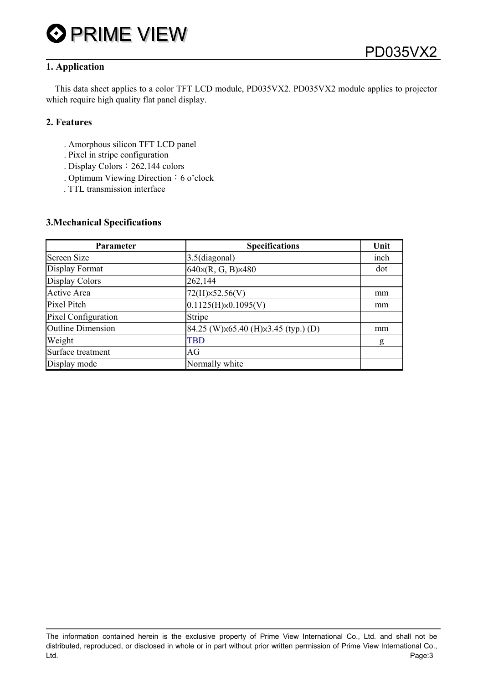

## **1. Application**

This data sheet applies to a color TFT LCD module, PD035VX2. PD035VX2 module applies to projector which require high quality flat panel display.

### **2. Features**

- . Amorphous silicon TFT LCD panel
- . Pixel in stripe configuration
- . Display Colors: 262,144 colors
- . Optimum Viewing Direction: 6 o'clock
- . TTL transmission interface

#### **3.Mechanical Specifications**

| Parameter<br><b>Specifications</b> |                                     | Unit |
|------------------------------------|-------------------------------------|------|
| <b>Screen Size</b>                 | 3.5(diagonal)                       | inch |
| Display Format                     | 640×(R, G, B)×480                   | dot  |
| <b>Display Colors</b>              | 262,144                             |      |
| <b>Active Area</b>                 | 72(H)×52.56(V)                      | mm   |
| Pixel Pitch                        | 0.1125(H)x0.1095(V)                 | mm   |
| Pixel Configuration                | Stripe                              |      |
| <b>Outline Dimension</b>           | 84.25 (W)×65.40 (H)×3.45 (typ.) (D) | mm   |
| Weight                             | TBD                                 | g    |
| Surface treatment                  | AG                                  |      |
| Display mode                       | Normally white                      |      |

The information contained herein is the exclusive property of Prime View International Co., Ltd. and shall not be distributed, reproduced, or disclosed in whole or in part without prior written permission of Prime View International Co., Ltd. Page:3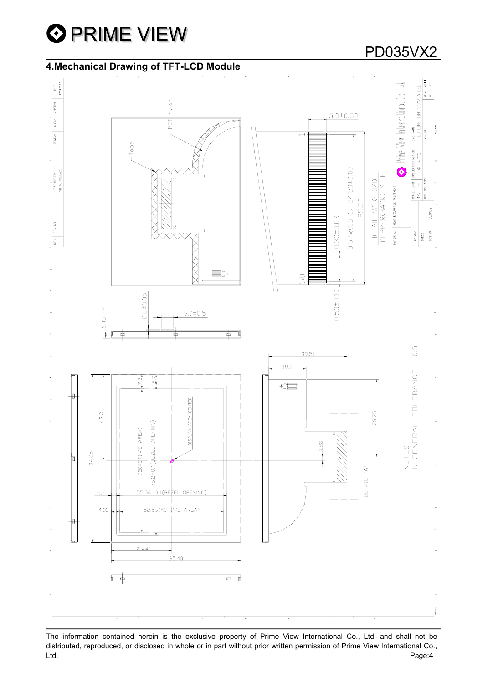

# **4.Mechanical Drawing of TFT-LCD Module**



The information contained herein is the exclusive property of Prime View International Co., Ltd. and shall not be distributed, reproduced, or disclosed in whole or in part without prior written permission of Prime View International Co., Ltd. Page:4

# PD035VX2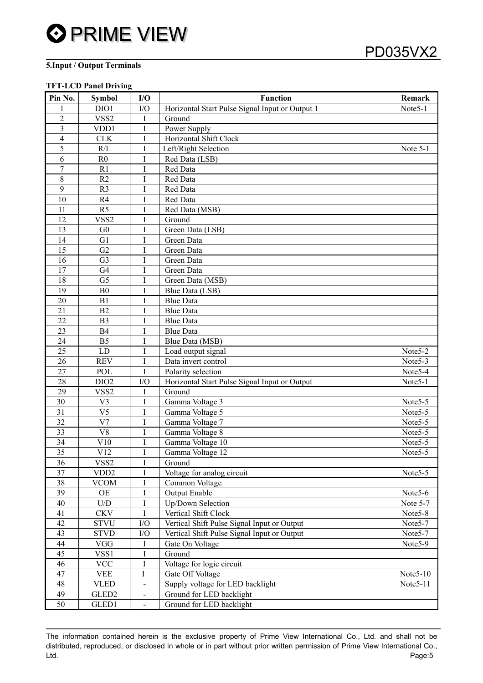#### **5.Input / Output Terminals**

#### **TFT-LCD Panel Driving**

| Pin No.         | <b>Symbol</b>           | I/O            | <b>Function</b>                                 | Remark               |
|-----------------|-------------------------|----------------|-------------------------------------------------|----------------------|
|                 | DIO1                    | I/O            | Horizontal Start Pulse Signal Input or Output 1 | Note5-1              |
| $\overline{2}$  | VSS <sub>2</sub>        | I              | Ground                                          |                      |
| 3               | VDD1                    | I              | Power Supply                                    |                      |
| $\overline{4}$  | <b>CLK</b>              | $\bf{I}$       | Horizontal Shift Clock                          |                      |
| 5               | R/L                     | $\mathbf I$    | Left/Right Selection                            | Note 5-1             |
| 6               | R <sub>0</sub>          | I              | Red Data (LSB)                                  |                      |
| $\overline{7}$  | R1                      | $\overline{I}$ | Red Data                                        |                      |
| $\,8\,$         | R2                      | I              | Red Data                                        |                      |
| 9               | R <sub>3</sub>          | I              | Red Data                                        |                      |
| 10              | R <sub>4</sub>          | I              | Red Data                                        |                      |
| 11              | R <sub>5</sub>          | I              | Red Data (MSB)                                  |                      |
| 12              | VSS <sub>2</sub>        | I              | Ground                                          |                      |
| 13              | G <sub>0</sub>          | I              | Green Data (LSB)                                |                      |
| 14              | G1                      | I              | Green Data                                      |                      |
| 15              | G2                      | $\bf{I}$       | Green Data                                      |                      |
| 16              | G <sub>3</sub>          | I              | Green Data                                      |                      |
| 17              | G <sub>4</sub>          | $\bf{I}$       | Green Data                                      |                      |
| 18              | G <sub>5</sub>          | I              | Green Data (MSB)                                |                      |
| 19              | B <sub>0</sub>          | I              | Blue Data (LSB)                                 |                      |
| 20              | B1                      | I              | <b>Blue Data</b>                                |                      |
| 21              | B2                      | $\bf{I}$       | <b>Blue Data</b>                                |                      |
| 22              | B <sub>3</sub>          | I              | <b>Blue Data</b>                                |                      |
| 23              | <b>B4</b>               | I              | <b>Blue Data</b>                                |                      |
| 24              | B <sub>5</sub>          | I              | Blue Data (MSB)                                 |                      |
| 25              | LD                      | Ι              | Load output signal                              | Note <sub>5</sub> -2 |
| 26              | <b>REV</b>              | $\bf{I}$       | Data invert control                             | Note5-3              |
| 27              | POL                     | $\bf{I}$       | Polarity selection                              | Note5-4              |
| 28              | DIO <sub>2</sub>        | I/O            | Horizontal Start Pulse Signal Input or Output   | Note <sub>5-1</sub>  |
| 29              | VSS <sub>2</sub>        | I              | Ground                                          |                      |
| 30              | V <sub>3</sub>          | $\mathbf I$    | Gamma Voltage 3                                 | Note5-5              |
| 31              | V <sub>5</sub>          | I              | Gamma Voltage 5                                 | Note <sub>5-5</sub>  |
| $\overline{32}$ | V <sub>7</sub>          | $\rm I$        | Gamma Voltage 7                                 | Note5-5              |
| 33              | V8                      | I              | Gamma Voltage 8                                 | Note5-5              |
| 34              | V10                     | Ι              | Gamma Voltage 10                                | Note <sub>5</sub> -5 |
| $\overline{35}$ | V12                     |                | Gamma Voltage 12                                | Note <sub>5-5</sub>  |
| 36              | VSS <sub>2</sub>        | I              | Ground                                          |                      |
| 37              | VDD <sub>2</sub>        | Ι              | Voltage for analog circuit                      | Note <sub>5-5</sub>  |
| 38              | <b>VCOM</b>             | $\rm I$        | Common Voltage                                  |                      |
| 39              | OE                      | I              | <b>Output Enable</b>                            | Note5-6              |
| 40              | $\mathbf{U}/\mathbf{D}$ | $\rm I$        | Up/Down Selection                               | Note 5-7             |
| 41              | <b>CKV</b>              | $\mathbf I$    | Vertical Shift Clock                            | Note5-8              |
| 42              | <b>STVU</b>             | ${\rm I/O}$    | Vertical Shift Pulse Signal Input or Output     | Note5-7              |
| 43              | <b>STVD</b>             | ${\rm I/O}$    | Vertical Shift Pulse Signal Input or Output     | Note5-7              |
| 44              | ${\rm VGG}$             | Ι              | Gate On Voltage                                 | Note5-9              |
| 45              | VSS1                    | I              | Ground                                          |                      |
| 46              | <b>VCC</b>              | $\rm I$        | Voltage for logic circuit                       |                      |
| 47              | <b>VEE</b>              | Ι              | Gate Off Voltage                                | Note $5-10$          |
| 48              | <b>VLED</b>             | $\blacksquare$ | Supply voltage for LED backlight                | Note5-11             |
| 49              | GLED <sub>2</sub>       | $\blacksquare$ | Ground for LED backlight                        |                      |
| 50              | GLED1                   | $\blacksquare$ | Ground for LED backlight                        |                      |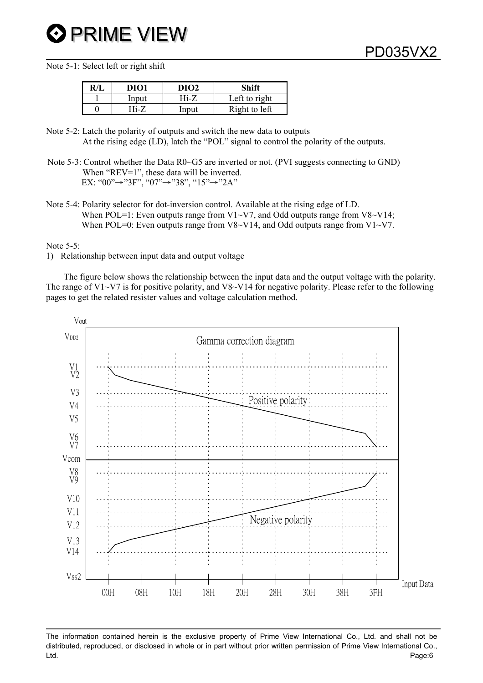Note 5-1: Select left or right shift

| DIO1  | DIO <sub>2</sub> | Shift         |
|-------|------------------|---------------|
| Input | Hi-7             | Left to right |
| Hi-7  | Input            | Right to left |

Note 5-2: Latch the polarity of outputs and switch the new data to outputs At the rising edge (LD), latch the "POL" signal to control the polarity of the outputs.

Note 5-4: Polarity selector for dot-inversion control. Available at the rising edge of LD. When POL=1: Even outputs range from V1~V7, and Odd outputs range from V8~V14; When POL=0: Even outputs range from V8~V14, and Odd outputs range from V1~V7.

Note 5-5:

1) Relationship between input data and output voltage

 The figure below shows the relationship between the input data and the output voltage with the polarity. The range of V1 $\sim$ V7 is for positive polarity, and V8 $\sim$ V14 for negative polarity. Please refer to the following pages to get the related resister values and voltage calculation method.



The information contained herein is the exclusive property of Prime View International Co., Ltd. and shall not be distributed, reproduced, or disclosed in whole or in part without prior written permission of Prime View International Co., Ltd. Page:6

Note 5-3: Control whether the Data R0~G5 are inverted or not. (PVI suggests connecting to GND) When "REV=1", these data will be inverted. EX: "00" $\rightarrow$ "3F", "07" $\rightarrow$ "38", "15" $\rightarrow$ "2A"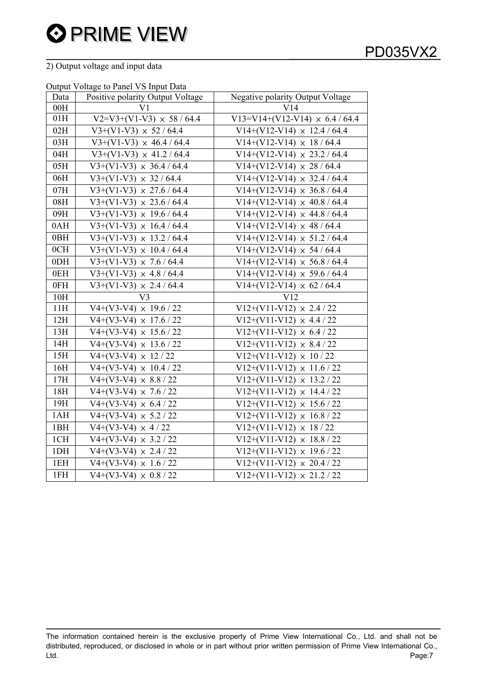# 2) Output voltage and input data

#### Output Voltage to Panel VS Input Data

| <b><i>Purpur</i></b><br>Data | $\frac{1}{2}$ change to 1 and $\frac{1}{2}$ of $\frac{1}{2}$ and $\frac{1}{2}$<br>Positive polarity Output Voltage | Negative polarity Output Voltage    |
|------------------------------|--------------------------------------------------------------------------------------------------------------------|-------------------------------------|
| 00H                          | V1                                                                                                                 | V14                                 |
| 01H                          | $V2=V3+(V1-V3) \times 58 / 64.4$                                                                                   | V13=V14+(V12-V14) $\times$ 6.4/64.4 |
| 02H                          | $V3+(V1-V3) \times 52 / 64.4$                                                                                      | $V14+(V12-V14) \times 12.4 / 64.4$  |
| 03H                          | $V3+(V1-V3) \times 46.4 / 64.4$                                                                                    | $V14+(V12-V14) \times 18/64.4$      |
| 04H                          | $V3+(V1-V3) \times 41.2 / 64.4$                                                                                    | $V14+(V12-V14) \times 23.2 / 64.4$  |
| 05H                          | $V3+(V1-V3) \times 36.4 / 64.4$                                                                                    | $V14+(V12-V14) \times 28 / 64.4$    |
| 06H                          | $V3+(V1-V3) \times 32 / 64.4$                                                                                      | $V14+(V12-V14) \times 32.4 / 64.4$  |
| 07H                          | $V3+(V1-V3) \times 27.6 / 64.4$                                                                                    | $V14+(V12-V14) \times 36.8 / 64.4$  |
| 08H                          | $V3+(V1-V3) \times 23.6 / 64.4$                                                                                    | $V14+(V12-V14) \times 40.8 / 64.4$  |
| 09H                          | $V3+(V1-V3) \times 19.6 / 64.4$                                                                                    | $V14+(V12-V14) \times 44.8 / 64.4$  |
| 0AH                          | $V3+(V1-V3) \times 16.4 / 64.4$                                                                                    | $V14+(V12-V14) \times 48 / 64.4$    |
| 0BH                          | $V3+(V1-V3) \times 13.2 / 64.4$                                                                                    | $V14+(V12-V14) \times 51.2 / 64.4$  |
| 0CH                          | $V3+(V1-V3) \times 10.4 / 64.4$                                                                                    | $V14+(V12-V14) \times 54 / 64.4$    |
| $0$ DH                       | $V3+(V1-V3) \times 7.6 / 64.4$                                                                                     | $V14+(V12-V14) \times 56.8 / 64.4$  |
| 0EH                          | $V3+(V1-V3) \times 4.8 / 64.4$                                                                                     | $V14+(V12-V14) \times 59.6 / 64.4$  |
| 0FH                          | $V3+(V1-V3) \times 2.4 / 64.4$                                                                                     | $V14+(V12-V14) \times 62 / 64.4$    |
| 10H                          | V <sub>3</sub>                                                                                                     | V12                                 |
| 11H                          | $V4+(V3-V4) \times 19.6 / 22$                                                                                      | $V12+(V11-V12) \times 2.4/22$       |
| 12H                          | $V4+(V3-V4) \times 17.6 / 22$                                                                                      | $V12+(V11-V12) \times 4.4/22$       |
| 13H                          | $V4+(V3-V4) \times 15.6 / 22$                                                                                      | $V12+(V11-V12) \times 6.4/22$       |
| 14H                          | $V4+(V3-V4) \times 13.6 / 22$                                                                                      | $V12+(V11-V12) \times 8.4/22$       |
| 15H                          | $V4+(V3-V4) \times 12 / 22$                                                                                        | $V12+(V11-V12) \times 10/22$        |
| 16H                          | $V4+(V3-V4) \times 10.4 / 22$                                                                                      | $V12+(V11-V12) \times 11.6/22$      |
| 17H                          | $V4+(V3-V4) \times 8.8 / 22$                                                                                       | $V12+(V11-V12) \times 13.2 / 22$    |
| 18H                          | $V4+(V3-V4) \times 7.6 / 22$                                                                                       | $V12+(V11-V12) \times 14.4/22$      |
| 19H                          | $V4+(V3-V4) \times 6.4 / 22$                                                                                       | $V12+(V11-V12) \times 15.6 / 22$    |
| 1AH                          | $V4+(V3-V4) \times 5.2 / 22$                                                                                       | $V12+(V11-V12) \times 16.8/22$      |
| 1BH                          | $V4+(V3-V4) \times 4/22$                                                                                           | $V12+(V11-V12) \times 18/22$        |
| 1CH                          | $V4+(V3-V4) \times 3.2 / 22$                                                                                       | $V12+(V11-V12) \times 18.8/22$      |
| 1 <sub>DH</sub>              | $V4+(V3-V4) \times 2.4 / 22$                                                                                       | $V12+(V11-V12) \times 19.6 / 22$    |
| 1EH                          | $V4+(V3-V4) \times 1.6 / 22$                                                                                       | $V12+(V11-V12) \times 20.4/22$      |
| 1FH                          | $V4+(V3-V4) \times 0.8 / 22$                                                                                       | $V12+(V11-V12) \times 21.2 / 22$    |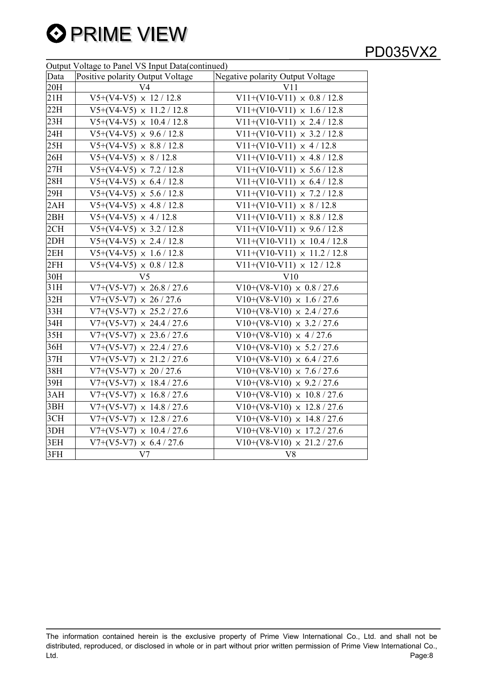

# PD035VX2

|      | Output Voltage to Panel VS Input Data(continued) |                                    |  |  |  |  |  |  |
|------|--------------------------------------------------|------------------------------------|--|--|--|--|--|--|
| Data | Positive polarity Output Voltage                 | Negative polarity Output Voltage   |  |  |  |  |  |  |
| 20H  | V <sub>4</sub>                                   | V11                                |  |  |  |  |  |  |
| 21H  | $V5+(V4-V5) \times 12/12.8$                      | $V11+(V10-V11) \times 0.8 / 12.8$  |  |  |  |  |  |  |
| 22H  | $V5+(V4-V5) \times 11.2 / 12.8$                  | $V11+(V10-V11) \times 1.6 / 12.8$  |  |  |  |  |  |  |
| 23H  | $V5+(V4-V5) \times 10.4 / 12.8$                  | $V11+(V10-V11) \times 2.4 / 12.8$  |  |  |  |  |  |  |
| 24H  | $V5+(V4-V5) \times 9.6 / 12.8$                   | $V11+(V10-V11) \times 3.2 / 12.8$  |  |  |  |  |  |  |
| 25H  | $V5+(V4-V5) \times 8.8 / 12.8$                   | $V11+(V10-V11) \times 4/12.8$      |  |  |  |  |  |  |
| 26H  | $V5+(V4-V5) \times 8 / 12.8$                     | $V11+(V10-V11) \times 4.8 / 12.8$  |  |  |  |  |  |  |
| 27H  | $V5+(V4-V5) \times 7.2 / 12.8$                   | $V11+(V10-V11) \times 5.6 / 12.8$  |  |  |  |  |  |  |
| 28H  | $V5+(V4-V5) \times 6.4 / 12.8$                   | $V11+(V10-V11) \times 6.4 / 12.8$  |  |  |  |  |  |  |
| 29H  | $V5+(V4-V5) \times 5.6 / 12.8$                   | $V11+(V10-V11) \times 7.2 / 12.8$  |  |  |  |  |  |  |
| 2AH  | $V5+(V4-V5) \times 4.8 / 12.8$                   | $V11+(V10-V11) \times 8/12.8$      |  |  |  |  |  |  |
| 2BH  | $V5+(V4-V5) \times 4/12.8$                       | $V11+(V10-V11) \times 8.8 / 12.8$  |  |  |  |  |  |  |
| 2CH  | $V5+(V4-V5) \times 3.2 / 12.8$                   | $V11+(V10-V11) \times 9.6 / 12.8$  |  |  |  |  |  |  |
| 2DH  | $V5+(V4-V5) \times 2.4 / 12.8$                   | $V11+(V10-V11) \times 10.4 / 12.8$ |  |  |  |  |  |  |
| 2EH  | $V5+(V4-V5) \times 1.6 / 12.8$                   | $V11+(V10-V11) \times 11.2 / 12.8$ |  |  |  |  |  |  |
| 2FH  | $V5+(V4-V5) \times 0.8 / 12.8$                   | $V11+(V10-V11) \times 12 / 12.8$   |  |  |  |  |  |  |
| 30H  | V <sub>5</sub>                                   | V10                                |  |  |  |  |  |  |
| 31H  | $V7+(V5-V7) \times 26.8 / 27.6$                  | $V10+(V8-V10) \times 0.8 / 27.6$   |  |  |  |  |  |  |
| 32H  | $V7+(V5-V7) \times 26 / 27.6$                    | $V10+(V8-V10) \times 1.6 / 27.6$   |  |  |  |  |  |  |
| 33H  | $V7+(V5-V7) \times 25.2 / 27.6$                  | $V10+(V8-V10) \times 2.4 / 27.6$   |  |  |  |  |  |  |
| 34H  | $V7+(V5-V7) \times 24.4 / 27.6$                  | $V10+(V8-V10) \times 3.2 / 27.6$   |  |  |  |  |  |  |
| 35H  | $V7+(V5-V7) \times 23.6 / 27.6$                  | $V10+(V8-V10) \times 4/27.6$       |  |  |  |  |  |  |
| 36H  | $V7+(V5-V7) \times 22.4 / 27.6$                  | $V10+(V8-V10) \times 5.2 / 27.6$   |  |  |  |  |  |  |
| 37H  | $V7+(V5-V7) \times 21.2 / 27.6$                  | $V10+(V8-V10) \times 6.4/27.6$     |  |  |  |  |  |  |
| 38H  | $V7+(V5-V7) \times 20 / 27.6$                    | $V10+(V8-V10) \times 7.6 / 27.6$   |  |  |  |  |  |  |
| 39H  | $V7+(V5-V7) \times 18.4 / 27.6$                  | $V10+(V8-V10) \times 9.2 / 27.6$   |  |  |  |  |  |  |
| 3AH  | $V7+(V5-V7) \times 16.8 / 27.6$                  | $V10+(V8-V10) \times 10.8 / 27.6$  |  |  |  |  |  |  |
| 3BH  | $V7+(V5-V7) \times 14.8 / 27.6$                  | $V10+(V8-V10) \times 12.8 / 27.6$  |  |  |  |  |  |  |
| 3CH  | $V7+(V5-V7) \times 12.8 / 27.6$                  | $V10+(V8-V10) \times 14.8 / 27.6$  |  |  |  |  |  |  |
| 3DH  | $V7+(V5-V7) \times 10.4 / 27.6$                  | $V10+(V8-V10) \times 17.2 / 27.6$  |  |  |  |  |  |  |
| 3EH  | $V7+(V5-V7) \times 6.4 / 27.6$                   | $V10+(V8-V10) \times 21.2 / 27.6$  |  |  |  |  |  |  |
| 3FH  | V <sub>7</sub>                                   | V8                                 |  |  |  |  |  |  |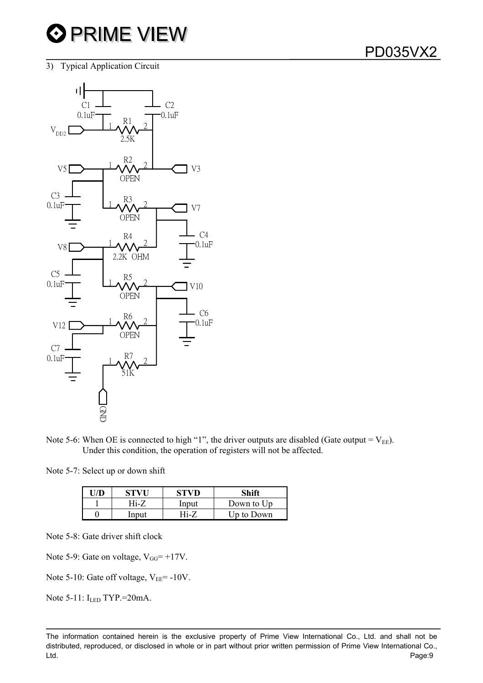3) Typical Application Circuit



Note 5-6: When OE is connected to high "1", the driver outputs are disabled (Gate output =  $V_{EE}$ ). Under this condition, the operation of registers will not be affected.

Note 5-7: Select up or down shift

|       |          | Shift      |
|-------|----------|------------|
| Hi-7  | Input    | Down to Up |
| Input | $Hi - 7$ | Up to Down |

Note 5-8: Gate driver shift clock

Note 5-9: Gate on voltage,  $V_{GG} = +17V$ .

Note 5-10: Gate off voltage,  $V_{EE}$ = -10V.

Note 5-11: I<sub>LED</sub> TYP.=20mA.

The information contained herein is the exclusive property of Prime View International Co., Ltd. and shall not be distributed, reproduced, or disclosed in whole or in part without prior written permission of Prime View International Co., Ltd. Page:9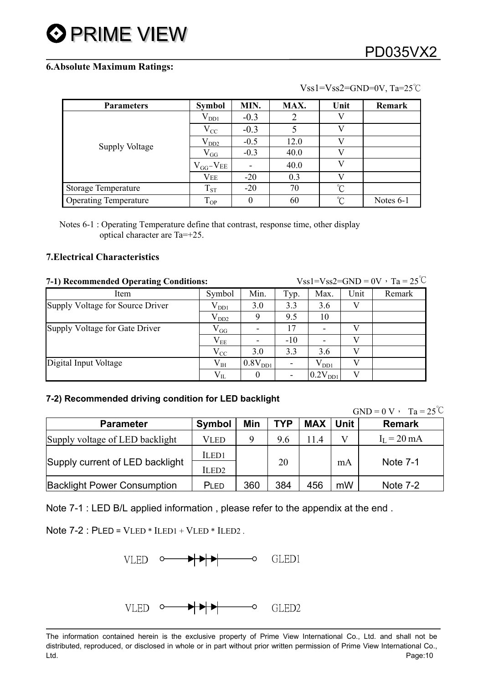#### $Vss1=Vss2=GND=0V$ , Ta=25°C

| <b>Parameters</b>            | <b>Symbol</b>       | MIN.   | MAX. | Unit            | Remark      |
|------------------------------|---------------------|--------|------|-----------------|-------------|
|                              | $\rm V_{DD1}$       | $-0.3$ |      | V               |             |
| <b>Supply Voltage</b>        | $V_{CC}$            | $-0.3$ |      | V               |             |
|                              | $\rm V_{DD2}$       | $-0.5$ | 12.0 | V)              |             |
|                              | $V_{GG}$            | $-0.3$ | 40.0 | V               |             |
|                              | $V_{GG}$ - $V_{EE}$ |        | 40.0 | V               |             |
|                              | <b>VEE</b>          | $-20$  | 0.3  |                 |             |
| <b>Storage Temperature</b>   | $T_{ST}$            | $-20$  | 70   | $\rm ^{\circ}C$ |             |
| <b>Operating Temperature</b> | $T_{OP}$            | 0      | 60   | $\rm ^{\circ}C$ | Notes $6-1$ |

Notes 6-1 : Operating Temperature define that contrast, response time, other display optical character are Ta=+25.

## **7.Electrical Characteristics**

| 7-1) Recommended Operating Conditions: |               |                          |       | $Vss1=Vss2=GND=0V \cdot Ta = 25^{\circ}C$ |      |        |  |  |
|----------------------------------------|---------------|--------------------------|-------|-------------------------------------------|------|--------|--|--|
| Item                                   | Symbol        | Min.                     | Typ.  | Max.                                      | Unit | Remark |  |  |
| Supply Voltage for Source Driver       | $\rm V_{DD1}$ | 3.0                      | 3.3   | 3.6                                       | V    |        |  |  |
|                                        | $\rm V_{DD2}$ | 9                        | 9.5   | 10                                        |      |        |  |  |
| Supply Voltage for Gate Driver         | $\rm V_{GG}$  | $\overline{\phantom{a}}$ | 17    | $\blacksquare$                            | V    |        |  |  |
|                                        | $\rm V_{EE}$  |                          | $-10$ |                                           | V    |        |  |  |
|                                        | $V_{CC}$      | 3.0                      | 3.3   | 3.6                                       | V    |        |  |  |
| Digital Input Voltage                  | $\rm V_{IH}$  | 0.8V <sub>DD1</sub>      |       | $\rm V_{DD1}$                             |      |        |  |  |
|                                        | $V_{IL}$      | $\theta$                 |       | 0.2V <sub>DD1</sub>                       | V    |        |  |  |

## **7-2) Recommended driving condition for LED backlight**

| $GND = 0 V$ | $\sim$<br>m.<br>$\mathcal{L}$<br>$\alpha -$<br>ra<br>$\check{ }$<br>ں گ |
|-------------|-------------------------------------------------------------------------|
|             |                                                                         |

| <b>Parameter</b>                   | Symbol            | Min | <b>TYP</b> | <b>MAX</b> | Unit | <b>Remark</b>         |
|------------------------------------|-------------------|-----|------------|------------|------|-----------------------|
| Supply voltage of LED backlight    | VLED              | Q   | 9.6        | 114        |      | $I_L = 20 \text{ mA}$ |
|                                    | ILED <sub>1</sub> |     |            |            |      |                       |
| Supply current of LED backlight    | ILED <sub>2</sub> |     | 20         |            | mA   | Note 7-1              |
| <b>Backlight Power Consumption</b> | PLED              | 360 | 384        | 456        | mW   | Note 7-2              |

Note 7-1 : LED B/L applied information , please refer to the appendix at the end .

Note  $7-2$ : PLED = VLED  $*$  ILED1 + VLED  $*$  ILED2.



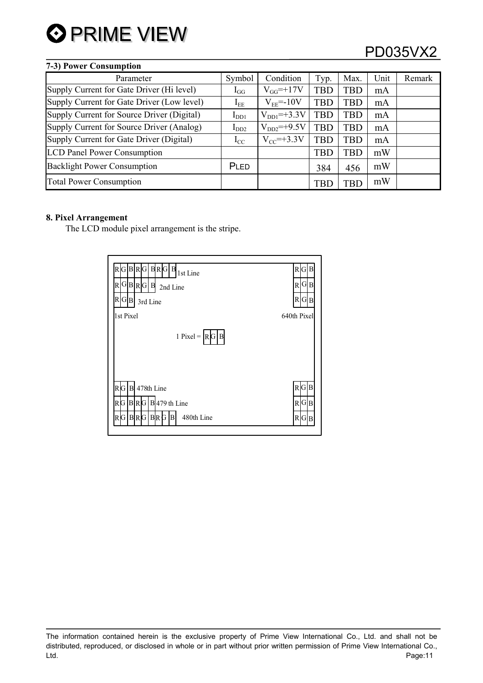

# PD035VX2

| 7-3) Power Consumption                     |                   |                   |            |            |      |        |
|--------------------------------------------|-------------------|-------------------|------------|------------|------|--------|
| Parameter                                  | Symbol            | Condition         | Typ.       | Max.       | Unit | Remark |
| Supply Current for Gate Driver (Hi level)  | $\mathbf{1}_{GG}$ | $V_{GG} = +17V$   | <b>TBD</b> | TBD        | mA   |        |
| Supply Current for Gate Driver (Low level) | $I_{EE}$          | $V_{EE} = -10V$   | <b>TBD</b> | TBD        | mA   |        |
| Supply Current for Source Driver (Digital) | $I_{DD1}$         | $V_{DD1} = +3.3V$ | <b>TBD</b> | TBD        | mA   |        |
| Supply Current for Source Driver (Analog)  | $I_{DD2}$         | $V_{DD2}$ =+9.5V  | <b>TBD</b> | <b>TBD</b> | mA   |        |
| Supply Current for Gate Driver (Digital)   | $I_{\rm CC}$      | $V_{CC}$ =+3.3V   | <b>TBD</b> | <b>TBD</b> | mA   |        |
| <b>LCD Panel Power Consumption</b>         |                   |                   | <b>TBD</b> | <b>TBD</b> | mW   |        |
| <b>Backlight Power Consumption</b>         | PLED              |                   | 384        | 456        | mW   |        |
| <b>Total Power Consumption</b>             |                   |                   | TBI        | TBD        | mW   |        |

#### **8. Pixel Arrangement**

The LCD module pixel arrangement is the stripe.

| G B R G  B R G  B<br>R<br>1st Line<br>G B R G B<br>R<br>2nd Line | RIG<br>GB<br>RI |
|------------------------------------------------------------------|-----------------|
| R G B <br>3rd Line                                               | R G B           |
| 1st Pixel                                                        | 640th Pixel     |
| 1 Pixel = $\vert R \vert G \vert B$                              |                 |
| $R$ G $B$<br>478th Line                                          | R G B           |
| $R[G B R[G B]479$ th Line                                        | R G B           |
|                                                                  |                 |

The information contained herein is the exclusive property of Prime View International Co., Ltd. and shall not be distributed, reproduced, or disclosed in whole or in part without prior written permission of Prime View International Co., Ltd. Page:11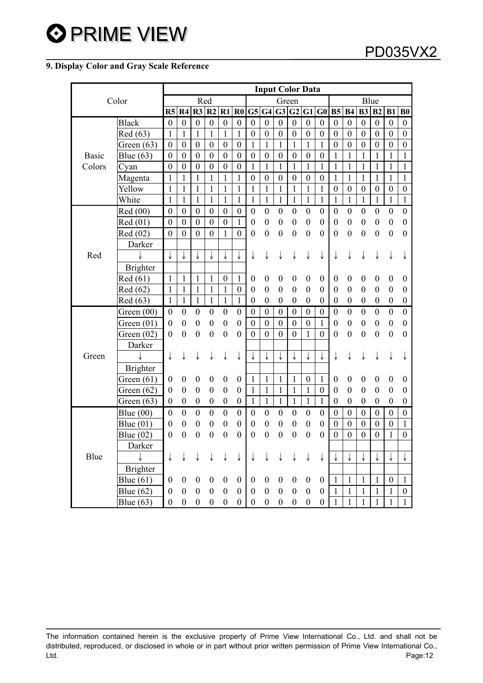# **9. Display Color and Gray Scale Reference**

| Color        |                 | <b>Input Color Data</b> |                  |                          |                  |                  |                  |                  |                  |                  |                  |                  |                  |                  |                  |                  |                  |                  |                  |
|--------------|-----------------|-------------------------|------------------|--------------------------|------------------|------------------|------------------|------------------|------------------|------------------|------------------|------------------|------------------|------------------|------------------|------------------|------------------|------------------|------------------|
|              |                 | Red                     |                  |                          |                  |                  | Green            |                  |                  |                  |                  | Blue             |                  |                  |                  |                  |                  |                  |                  |
|              |                 | R <sub>5</sub>          | R4               | R3                       | R2               | R1               | $\mathbf{R0}$    | G5               | G4               | G3               | G2               | G1 G0            |                  | <b>B5</b>        | <b>B4</b>        | B <sub>3</sub>   | B <sub>2</sub>   | B1               | B <sub>0</sub>   |
|              | <b>Black</b>    | $\boldsymbol{0}$        | $\boldsymbol{0}$ | $\boldsymbol{0}$         | $\boldsymbol{0}$ | $\boldsymbol{0}$ | $\boldsymbol{0}$ | $\boldsymbol{0}$ | $\boldsymbol{0}$ | $\boldsymbol{0}$ | $\boldsymbol{0}$ | $\boldsymbol{0}$ | $\boldsymbol{0}$ | $\boldsymbol{0}$ | $\boldsymbol{0}$ | $\boldsymbol{0}$ | $\boldsymbol{0}$ | $\boldsymbol{0}$ | $\boldsymbol{0}$ |
|              | Red (63)        | $\mathbf{1}$            | $\mathbf{1}$     | $\mathbf{1}$             | $\overline{1}$   | $\mathbf{1}$     | $\mathbf{1}$     | $\boldsymbol{0}$ | $\boldsymbol{0}$ | $\boldsymbol{0}$ | $\boldsymbol{0}$ | $\boldsymbol{0}$ | $\boldsymbol{0}$ | $\boldsymbol{0}$ | $\boldsymbol{0}$ | $\boldsymbol{0}$ | $\boldsymbol{0}$ | $\boldsymbol{0}$ | $\boldsymbol{0}$ |
|              | Green $(63)$    | $\boldsymbol{0}$        | $\boldsymbol{0}$ | $\boldsymbol{0}$         | $\boldsymbol{0}$ | $\boldsymbol{0}$ | $\boldsymbol{0}$ | $\mathbf{1}$     | $\mathbf{1}$     | $\mathbf{1}$     | $\mathbf{1}$     | $\mathbf{1}$     | $\mathbf{1}$     | $\boldsymbol{0}$ | $\boldsymbol{0}$ | $\boldsymbol{0}$ | $\boldsymbol{0}$ | $\boldsymbol{0}$ | $\boldsymbol{0}$ |
| <b>Basic</b> | Blue $(63)$     | $\boldsymbol{0}$        | $\mathbf{0}$     | $\boldsymbol{0}$         | $\boldsymbol{0}$ | $\boldsymbol{0}$ | $\boldsymbol{0}$ | $\boldsymbol{0}$ | $\boldsymbol{0}$ | $\boldsymbol{0}$ | $\boldsymbol{0}$ | $\boldsymbol{0}$ | $\boldsymbol{0}$ | $\mathbf{1}$     | $\mathbf{1}$     | $\mathbf{1}$     | 1                | 1                | 1                |
| Colors       | Cyan            | $\boldsymbol{0}$        | $\boldsymbol{0}$ | $\boldsymbol{0}$         | $\boldsymbol{0}$ | $\boldsymbol{0}$ | $\boldsymbol{0}$ | $\mathbf{1}$     | $\mathbf{1}$     | 1                | $\mathbf{1}$     | $\mathbf{1}$     | $\mathbf{1}$     | $\mathbf{1}$     | 1                | $\mathbf{1}$     | $\mathbf{1}$     | 1                | $\mathbf{1}$     |
|              | Magenta         | $\mathbf{1}$            | $\mathbf{1}$     | $\mathbf{1}$             | $\mathbf{1}$     | $\mathbf{1}$     | $\mathbf{1}$     | $\boldsymbol{0}$ | $\boldsymbol{0}$ | $\boldsymbol{0}$ | $\boldsymbol{0}$ | $\boldsymbol{0}$ | $\boldsymbol{0}$ | $\mathbf{1}$     | $\mathbf{1}$     | $\mathbf{1}$     | $\mathbf{1}$     | 1                | $\mathbf{1}$     |
|              | Yellow          | $\mathbf{1}$            | 1                | 1                        | $\mathbf{1}$     | $\mathbf{1}$     | $\mathbf{1}$     | $\mathbf{1}$     | $\mathbf{1}$     | $\mathbf{1}$     | $\mathbf{1}$     | $\mathbf{1}$     | $\mathbf{1}$     | $\boldsymbol{0}$ | $\boldsymbol{0}$ | $\boldsymbol{0}$ | $\boldsymbol{0}$ | $\boldsymbol{0}$ | $\boldsymbol{0}$ |
|              | White           | 1                       | $\mathbf{1}$     | 1                        | 1                | 1                | $\mathbf{1}$     | 1                | $\mathbf{1}$     | $\mathbf{1}$     | $\mathbf{1}$     | $\mathbf{1}$     | $\mathbf{1}$     | $\mathbf{1}$     | $\mathbf{1}$     | $\mathbf{1}$     | $\mathbf{1}$     | 1                | $\mathbf{1}$     |
|              | Red (00)        | $\boldsymbol{0}$        | $\boldsymbol{0}$ | $\boldsymbol{0}$         | $\boldsymbol{0}$ | $\boldsymbol{0}$ | $\boldsymbol{0}$ | $\boldsymbol{0}$ | $\boldsymbol{0}$ | $\boldsymbol{0}$ | $\boldsymbol{0}$ | $\boldsymbol{0}$ | $\boldsymbol{0}$ | $\boldsymbol{0}$ | $\boldsymbol{0}$ | $\boldsymbol{0}$ | $\boldsymbol{0}$ | $\boldsymbol{0}$ | $\boldsymbol{0}$ |
|              | Red (01)        | $\boldsymbol{0}$        | $\boldsymbol{0}$ | $\boldsymbol{0}$         | $\boldsymbol{0}$ | $\boldsymbol{0}$ | $\mathbf{1}$     | $\boldsymbol{0}$ | $\boldsymbol{0}$ | $\boldsymbol{0}$ | $\boldsymbol{0}$ | $\boldsymbol{0}$ | $\boldsymbol{0}$ | $\boldsymbol{0}$ | $\boldsymbol{0}$ | $\boldsymbol{0}$ | $\boldsymbol{0}$ | $\boldsymbol{0}$ | $\boldsymbol{0}$ |
|              | Red (02)        | $\boldsymbol{0}$        | $\boldsymbol{0}$ | $\boldsymbol{0}$         | $\boldsymbol{0}$ | 1                | $\mathbf{0}$     | $\boldsymbol{0}$ | $\boldsymbol{0}$ | $\boldsymbol{0}$ | $\boldsymbol{0}$ | $\boldsymbol{0}$ | $\overline{0}$   | $\overline{0}$   | $\mathbf{0}$     | $\boldsymbol{0}$ | $\boldsymbol{0}$ | $\boldsymbol{0}$ | $\boldsymbol{0}$ |
|              | Darker          |                         |                  |                          |                  |                  |                  |                  |                  |                  |                  |                  |                  |                  |                  |                  |                  |                  |                  |
| Red          |                 | ↓                       |                  |                          |                  |                  |                  | ↓                |                  |                  |                  |                  |                  |                  |                  |                  |                  |                  |                  |
|              | <b>Brighter</b> |                         |                  |                          |                  |                  |                  |                  |                  |                  |                  |                  |                  |                  |                  |                  |                  |                  |                  |
|              | Red (61)        | $\mathbf{1}$            | $\mathbf{1}$     | $\mathbf{1}$             | $\mathbf{1}$     | $\boldsymbol{0}$ | $\mathbf{1}$     | $\boldsymbol{0}$ | $\boldsymbol{0}$ | $\boldsymbol{0}$ | $\boldsymbol{0}$ | $\boldsymbol{0}$ | $\boldsymbol{0}$ | $\boldsymbol{0}$ | $\boldsymbol{0}$ | $\boldsymbol{0}$ | $\boldsymbol{0}$ | $\boldsymbol{0}$ | $\boldsymbol{0}$ |
|              | Red (62)        | $\mathbf{1}$            | $\mathbf{1}$     | $\mathbf{1}$             | $\mathbf{1}$     | $\mathbf{1}$     | $\boldsymbol{0}$ | $\boldsymbol{0}$ | $\boldsymbol{0}$ | $\boldsymbol{0}$ | $\boldsymbol{0}$ | $\boldsymbol{0}$ | $\boldsymbol{0}$ | $\boldsymbol{0}$ | $\boldsymbol{0}$ | $\boldsymbol{0}$ | $\boldsymbol{0}$ | $\boldsymbol{0}$ | $\boldsymbol{0}$ |
|              | Red (63)        | $\mathbf{1}$            | $\mathbf{1}$     | $\mathbf{1}$             | $\mathbf{1}$     | $\mathbf{1}$     | $\mathbf{1}$     | $\boldsymbol{0}$ | $\boldsymbol{0}$ | $\boldsymbol{0}$ | $\boldsymbol{0}$ | $\boldsymbol{0}$ | $\boldsymbol{0}$ | $\boldsymbol{0}$ | $\boldsymbol{0}$ | $\boldsymbol{0}$ | $\boldsymbol{0}$ | $\boldsymbol{0}$ | $\boldsymbol{0}$ |
|              | Green $(00)$    | $\boldsymbol{0}$        | $\boldsymbol{0}$ | $\boldsymbol{0}$         | $\boldsymbol{0}$ | $\boldsymbol{0}$ | $\boldsymbol{0}$ | $\boldsymbol{0}$ | $\boldsymbol{0}$ | $\boldsymbol{0}$ | $\boldsymbol{0}$ | $\boldsymbol{0}$ | $\boldsymbol{0}$ | $\boldsymbol{0}$ | $\boldsymbol{0}$ | $\boldsymbol{0}$ | $\boldsymbol{0}$ | $\boldsymbol{0}$ | $\boldsymbol{0}$ |
|              | Green $(01)$    | $\boldsymbol{0}$        | $\boldsymbol{0}$ | $\boldsymbol{0}$         | $\boldsymbol{0}$ | $\boldsymbol{0}$ | $\boldsymbol{0}$ | $\boldsymbol{0}$ | $\boldsymbol{0}$ | $\boldsymbol{0}$ | $\boldsymbol{0}$ | $\boldsymbol{0}$ | $\mathbf{1}$     | $\boldsymbol{0}$ | $\boldsymbol{0}$ | $\boldsymbol{0}$ | $\boldsymbol{0}$ | $\boldsymbol{0}$ | $\boldsymbol{0}$ |
|              | Green $(02)$    | $\boldsymbol{0}$        | $\boldsymbol{0}$ | $\boldsymbol{0}$         | $\boldsymbol{0}$ | $\boldsymbol{0}$ | $\boldsymbol{0}$ | $\boldsymbol{0}$ | $\boldsymbol{0}$ | $\boldsymbol{0}$ | $\mathbf{0}$     | $\mathbf{1}$     | $\boldsymbol{0}$ | $\boldsymbol{0}$ | $\boldsymbol{0}$ | $\boldsymbol{0}$ | $\boldsymbol{0}$ | $\boldsymbol{0}$ | $\boldsymbol{0}$ |
|              | Darker          |                         |                  |                          |                  |                  |                  |                  |                  |                  |                  |                  |                  |                  |                  |                  |                  |                  |                  |
| Green        |                 | ↓                       |                  |                          |                  |                  | ↓                |                  | ↓                | ↓                | ↓                | ↓                |                  |                  |                  |                  |                  |                  |                  |
|              | Brighter        |                         |                  |                          |                  |                  |                  |                  |                  |                  |                  |                  |                  |                  |                  |                  |                  |                  |                  |
|              | Green $(61)$    | $\boldsymbol{0}$        | $\boldsymbol{0}$ | $\boldsymbol{0}$         | $\boldsymbol{0}$ | $\boldsymbol{0}$ | $\boldsymbol{0}$ | $\mathbf{1}$     | $\mathbf{1}$     | $\mathbf{1}$     | $\mathbf{1}$     | $\boldsymbol{0}$ | 1                | $\boldsymbol{0}$ | $\boldsymbol{0}$ | $\boldsymbol{0}$ | $\boldsymbol{0}$ | $\boldsymbol{0}$ | $\boldsymbol{0}$ |
|              | Green $(62)$    | $\theta$                | $\boldsymbol{0}$ | $\boldsymbol{0}$         | $\boldsymbol{0}$ | $\boldsymbol{0}$ | $\boldsymbol{0}$ | $\mathbf{1}$     | $\mathbf{1}$     | $\mathbf{1}$     | $\mathbf{1}$     | $\mathbf{1}$     | $\boldsymbol{0}$ | $\boldsymbol{0}$ | $\boldsymbol{0}$ | $\boldsymbol{0}$ | $\boldsymbol{0}$ | $\boldsymbol{0}$ | $\boldsymbol{0}$ |
|              | Green $(63)$    | $\boldsymbol{0}$        | $\boldsymbol{0}$ | $\boldsymbol{0}$         | $\boldsymbol{0}$ | $\boldsymbol{0}$ | $\boldsymbol{0}$ | $\mathbf{1}$     | $\mathbf{1}$     | $\mathbf{1}$     | $\mathbf{1}$     | $\mathbf{1}$     | $\mathbf{1}$     | $\boldsymbol{0}$ | $\boldsymbol{0}$ | $\boldsymbol{0}$ | $\boldsymbol{0}$ | $\boldsymbol{0}$ | $\boldsymbol{0}$ |
|              | Blue $(00)$     | $\theta$                | $\boldsymbol{0}$ | $\boldsymbol{0}$         | $\boldsymbol{0}$ | $\boldsymbol{0}$ | $\boldsymbol{0}$ | $\boldsymbol{0}$ | $\boldsymbol{0}$ | $\boldsymbol{0}$ | $\boldsymbol{0}$ | $\boldsymbol{0}$ | $\boldsymbol{0}$ | $\boldsymbol{0}$ | $\boldsymbol{0}$ | $\boldsymbol{0}$ | $\boldsymbol{0}$ | $\boldsymbol{0}$ | $\boldsymbol{0}$ |
|              | Blue $(01)$     | $\boldsymbol{0}$        | $\boldsymbol{0}$ | $\boldsymbol{0}$         | $\boldsymbol{0}$ | $\boldsymbol{0}$ | $\boldsymbol{0}$ | $\boldsymbol{0}$ | $\boldsymbol{0}$ | $\boldsymbol{0}$ | $\boldsymbol{0}$ | $\boldsymbol{0}$ | $\boldsymbol{0}$ | $\boldsymbol{0}$ | $\boldsymbol{0}$ | $\boldsymbol{0}$ | $\boldsymbol{0}$ | $\boldsymbol{0}$ | 1                |
| Blue         | Blue $(02)$     | $\theta$                | $\overline{0}$   | $\boldsymbol{0}$         | $\theta$         | $\theta$         | $\mathbf{0}$     | $\theta$         | $\overline{0}$   | $\boldsymbol{0}$ | $\boldsymbol{0}$ | $\boldsymbol{0}$ | $\boldsymbol{0}$ | $\boldsymbol{0}$ | $\boldsymbol{0}$ | $\boldsymbol{0}$ | $\boldsymbol{0}$ | $\mathbf{1}$     | $\boldsymbol{0}$ |
|              | Darker          |                         |                  |                          |                  |                  |                  |                  |                  |                  |                  |                  |                  |                  |                  |                  |                  |                  |                  |
|              |                 | ↓                       |                  |                          |                  |                  | ↓                |                  |                  |                  |                  |                  |                  |                  |                  |                  |                  |                  |                  |
|              | <b>Brighter</b> |                         |                  |                          |                  |                  |                  |                  |                  |                  |                  |                  |                  |                  |                  |                  |                  |                  |                  |
|              | Blue $(61)$     | $\overline{0}$          | $\boldsymbol{0}$ | $\bf{0}$                 | $\boldsymbol{0}$ | $\boldsymbol{0}$ | $\boldsymbol{0}$ | $\boldsymbol{0}$ | $\boldsymbol{0}$ | $\boldsymbol{0}$ | $\boldsymbol{0}$ | $\boldsymbol{0}$ | $\boldsymbol{0}$ | $\mathbf{1}$     | $\mathbf{1}$     | $\mathbf{1}$     | $\mathbf{1}$     | $\boldsymbol{0}$ | $\mathbf{1}$     |
|              | Blue $(62)$     | $\boldsymbol{0}$        | $\boldsymbol{0}$ | $\boldsymbol{0}$         | $\boldsymbol{0}$ | $\boldsymbol{0}$ | $\boldsymbol{0}$ | $\boldsymbol{0}$ | $\boldsymbol{0}$ | $\boldsymbol{0}$ | $\boldsymbol{0}$ | $\boldsymbol{0}$ | $\boldsymbol{0}$ | 1                | 1                | 1                | 1                | 1                | $\boldsymbol{0}$ |
|              | Blue $(63)$     | $\boldsymbol{0}$        | $\boldsymbol{0}$ | $\overline{\phantom{0}}$ | $\boldsymbol{0}$ | $\boldsymbol{0}$ | $\boldsymbol{0}$ | $\boldsymbol{0}$ | $\boldsymbol{0}$ | $\boldsymbol{0}$ | $\boldsymbol{0}$ | $\boldsymbol{0}$ | $\boldsymbol{0}$ |                  | 1                |                  | 1                |                  | $\mathbf{1}$     |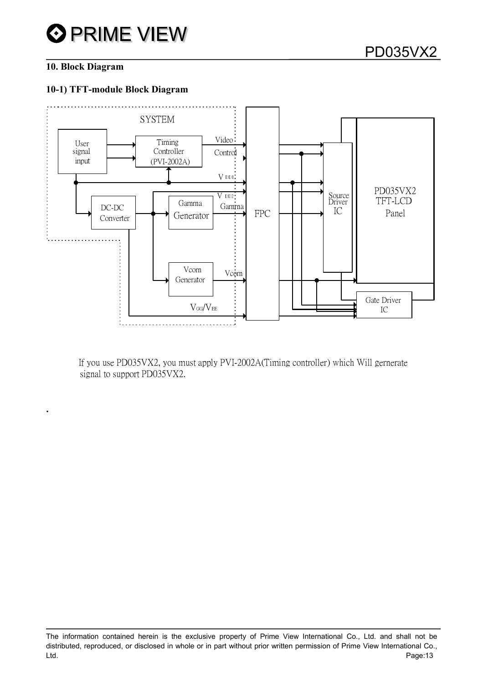# **10. Block Diagram**

**.** 

### **10-1) TFT-module Block Diagram**



If you use PD035VX2, you must apply PVI-2002A(Timing controller) which Will gernerate signal to support PD035VX2.

The information contained herein is the exclusive property of Prime View International Co., Ltd. and shall not be distributed, reproduced, or disclosed in whole or in part without prior written permission of Prime View International Co., Ltd. Page:13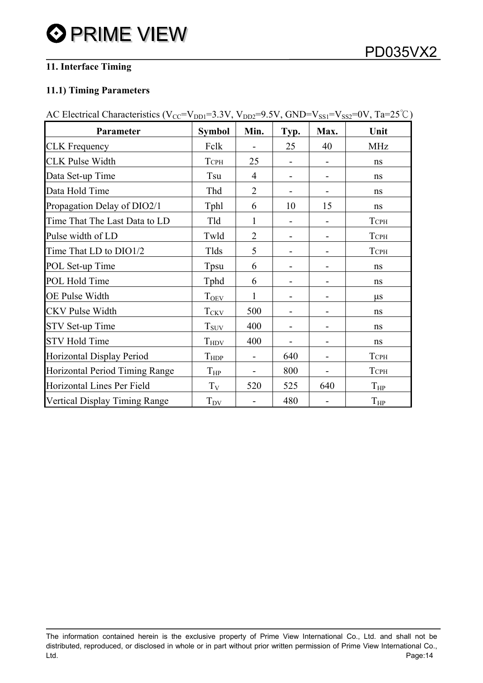# **11. Interface Timing**

# **11.1) Timing Parameters**

| AC Electrical Characteristics ( $V_{CC} = V_{DD1} = 3.3V$ , $V_{DD2} = 9.5V$ , $GND = V_{SS1} = V_{SS2} = 0V$ , $Ta = 25^{\circ}C$ ) |                      |                |      |      |             |  |  |
|--------------------------------------------------------------------------------------------------------------------------------------|----------------------|----------------|------|------|-------------|--|--|
| Parameter                                                                                                                            | <b>Symbol</b>        | Min.           | Typ. | Max. | Unit        |  |  |
| <b>CLK</b> Frequency                                                                                                                 | Fclk                 |                | 25   | 40   | MHz         |  |  |
| <b>CLK Pulse Width</b>                                                                                                               | <b>TCPH</b>          | 25             |      |      | ns          |  |  |
| Data Set-up Time                                                                                                                     | Tsu                  | 4              |      |      | ns          |  |  |
| Data Hold Time                                                                                                                       | Thd                  | $\overline{2}$ |      |      | ns          |  |  |
| Propagation Delay of DIO2/1                                                                                                          | Tphl                 | 6              | 10   | 15   | ns          |  |  |
| Time That The Last Data to LD                                                                                                        | Tld                  | 1              |      |      | <b>TCPH</b> |  |  |
| Pulse width of LD                                                                                                                    | Twld                 | $\overline{2}$ |      |      | <b>TCPH</b> |  |  |
| Time That LD to DIO1/2                                                                                                               | Tlds                 | 5              |      |      | <b>TCPH</b> |  |  |
| POL Set-up Time                                                                                                                      | Tpsu                 | 6              |      |      | ns          |  |  |
| POL Hold Time                                                                                                                        | Tphd                 | 6              |      |      | ns          |  |  |
| OE Pulse Width                                                                                                                       | T <sub>OEV</sub>     | 1              |      |      | $\mu$ s     |  |  |
| <b>CKV</b> Pulse Width                                                                                                               | $T_{CKV}$            | 500            |      | -    | ns          |  |  |
| STV Set-up Time                                                                                                                      | $T_{\rm{SUV}}$       | 400            |      |      | ns          |  |  |
| <b>STV Hold Time</b>                                                                                                                 | $T_{HDV}$            | 400            |      |      | ns          |  |  |
| Horizontal Display Period                                                                                                            | $T_{HDP}$            |                | 640  | -    | <b>TCPH</b> |  |  |
| Horizontal Period Timing Range                                                                                                       | $T_{HP}$             |                | 800  | -    | <b>TCPH</b> |  |  |
| Horizontal Lines Per Field                                                                                                           | $T_V$                | 520            | 525  | 640  | $T_{HP}$    |  |  |
| Vertical Display Timing Range                                                                                                        | $T_{D\underline{V}}$ |                | 480  |      | $T_{HP}$    |  |  |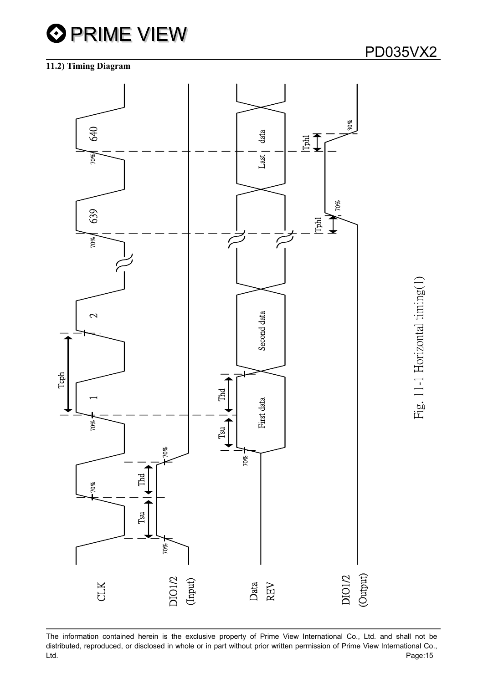

#### **11.2) Timing Diagram**

Fig. 11-1 Horizontal timing(1)

Fig. 11-1 Horizontal timing(1)

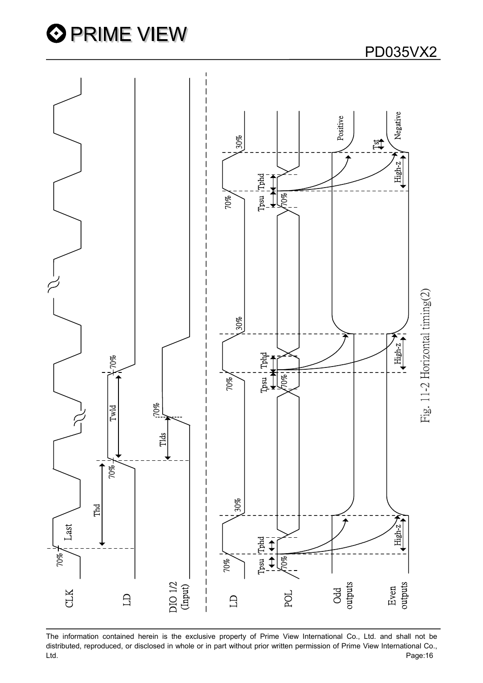



The information contained herein is the exclusive property of Prime View International Co., Ltd. and shall not be distributed, reproduced, or disclosed in whole or in part without prior written permission of Prime View International Co.,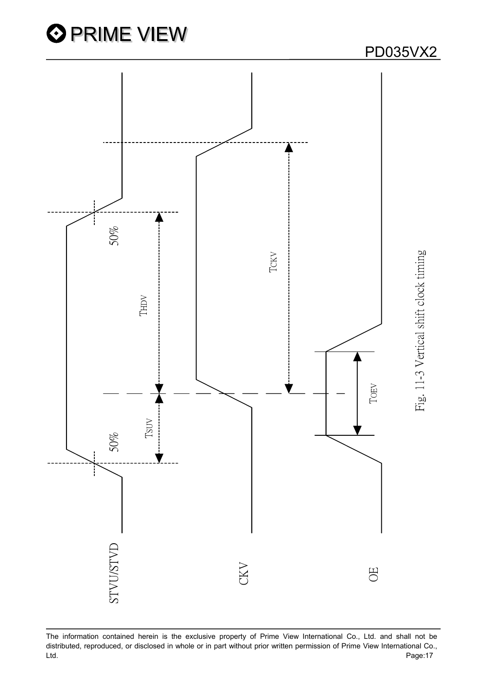

The information contained herein is the exclusive property of Prime View International Co., Ltd. and shall not be distributed, reproduced, or disclosed in whole or in part without prior written permission of Prime View International Co.,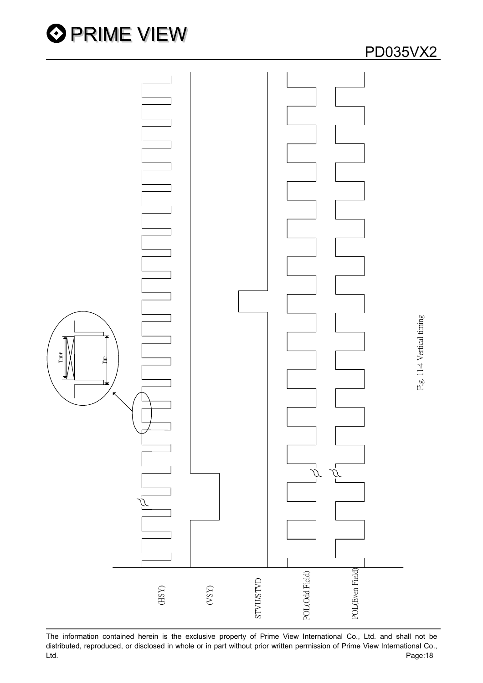



The information contained herein is the exclusive property of Prime View International Co., Ltd. and shall not be distributed, reproduced, or disclosed in whole or in part without prior written permission of Prime View International Co.,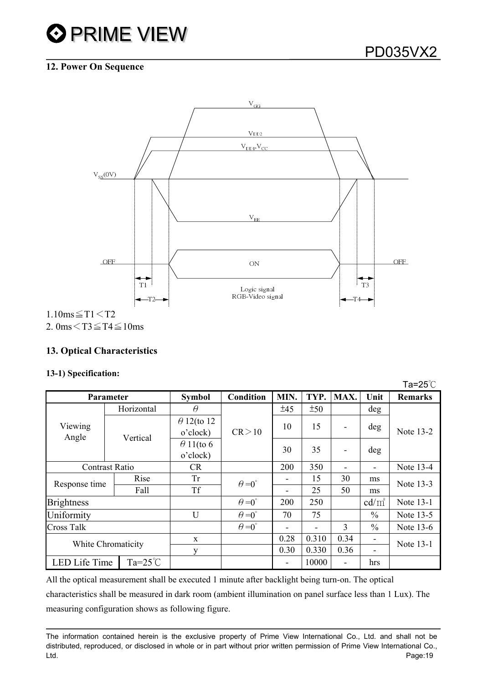# **12. Power On Sequence**



2. 0ms $\leq$ T3 $\leq$ T4 $\leq$ 10ms

# **13. Optical Characteristics**

#### **13-1) Specification:**

|                                   |          |            |                                |                          |       |       |                          |                          | Ta=25 $°C$     |  |
|-----------------------------------|----------|------------|--------------------------------|--------------------------|-------|-------|--------------------------|--------------------------|----------------|--|
| <b>Parameter</b>                  |          |            | <b>Symbol</b>                  | <b>Condition</b>         | MIN.  | TYP.  | MAX.                     | Unit                     | <b>Remarks</b> |  |
|                                   |          | Horizontal | $\theta$                       |                          | ±45   | ±50   |                          | deg                      |                |  |
| Viewing<br>Angle                  | Vertical |            | $\theta$ 12(to 12)<br>o'clock) | CR > 10                  | 10    | 15    |                          | deg                      | Note 13-2      |  |
|                                   |          |            | $\theta$ 11(to 6<br>o'clock)   |                          | 30    | 35    | $\blacksquare$           | deg                      |                |  |
| <b>Contrast Ratio</b>             |          |            | CR.                            |                          | 200   | 350   | $\overline{\phantom{a}}$ | $\overline{\phantom{a}}$ | Note 13-4      |  |
| Response time                     |          | Rise       | <b>Tr</b>                      | $\theta = 0^{\circ}$     |       | 15    | 30                       | ms                       | Note 13-3      |  |
|                                   |          | Fall       | <b>Tf</b>                      |                          |       | 25    | 50                       | ms                       |                |  |
| <b>Brightness</b>                 |          |            |                                | $\theta = 0^{\circ}$     | 200   | 250   |                          | $cd/m^2$                 | Note 13-1      |  |
| Uniformity                        |          | U          | $\theta = 0^{\circ}$           | 70                       | 75    |       | $\frac{0}{0}$            | Note 13-5                |                |  |
| <b>Cross Talk</b>                 |          |            | $\theta = 0^{\circ}$           | $\overline{\phantom{0}}$ | -     | 3     | $\frac{0}{0}$            | Note 13-6                |                |  |
| White Chromaticity                |          | X          |                                | 0.28                     | 0.310 | 0.34  |                          | Note 13-1                |                |  |
|                                   |          |            | у                              |                          | 0.30  | 0.330 | 0.36                     | ۰                        |                |  |
| LED Life Time<br>$Ta=25^{\circ}C$ |          |            |                                | $\overline{\phantom{a}}$ | 10000 |       | hrs                      |                          |                |  |

All the optical measurement shall be executed 1 minute after backlight being turn-on. The optical characteristics shall be measured in dark room (ambient illumination on panel surface less than 1 Lux). The measuring configuration shows as following figure.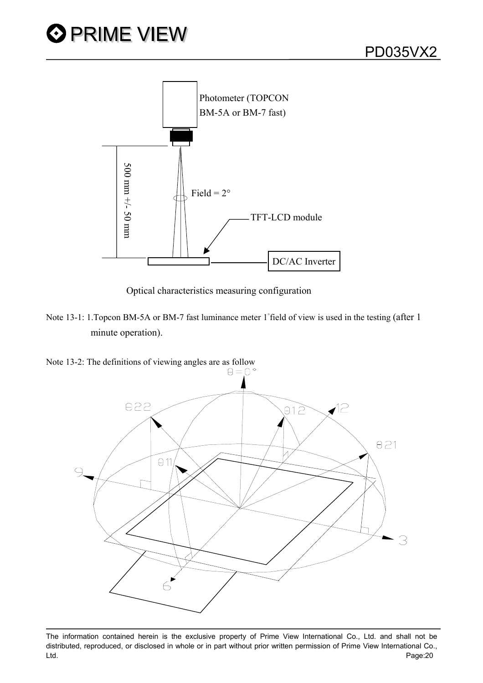

Optical characteristics measuring configuration

Note 13-1: 1. Topcon BM-5A or BM-7 fast luminance meter 1 field of view is used in the testing (after 1 minute operation).

Note 13-2: The definitions of viewing angles are as follow  $\theta = 0^{\circ}$ 



The information contained herein is the exclusive property of Prime View International Co., Ltd. and shall not be distributed, reproduced, or disclosed in whole or in part without prior written permission of Prime View International Co., Ltd. Page:20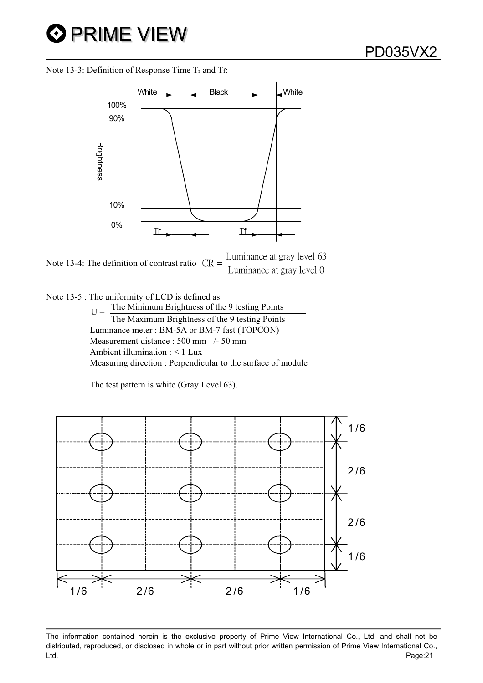Note 13-3: Definition of Response Time Tr and Tf:





Note 13-5 : The uniformity of LCD is defined as  $U =$ The Minimum Brightness of the 9 testing Points The Maximum Brightness of the 9 testing Points Luminance meter : BM-5A or BM-7 fast (TOPCON) Measurement distance : 500 mm +/- 50 mm Ambient illumination : < 1 Lux Measuring direction : Perpendicular to the surface of module

The test pattern is white (Gray Level 63).

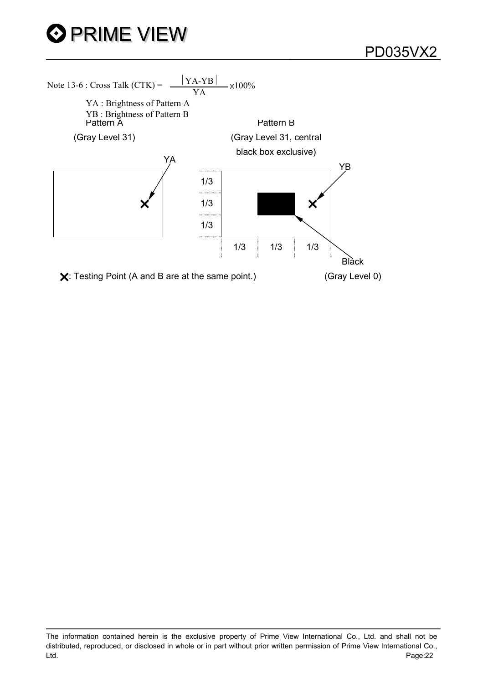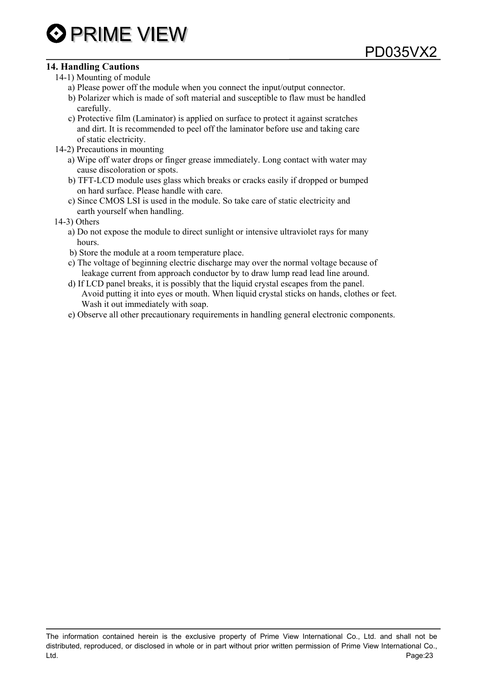#### **14. Handling Cautions**

- 14-1) Mounting of module
	- a) Please power off the module when you connect the input/output connector.
	- b) Polarizer which is made of soft material and susceptible to flaw must be handled carefully.
	- c) Protective film (Laminator) is applied on surface to protect it against scratches and dirt. It is recommended to peel off the laminator before use and taking care of static electricity.
- 14-2) Precautions in mounting
	- a) Wipe off water drops or finger grease immediately. Long contact with water may cause discoloration or spots.
	- b) TFT-LCD module uses glass which breaks or cracks easily if dropped or bumped on hard surface. Please handle with care.
	- c) Since CMOS LSI is used in the module. So take care of static electricity and earth yourself when handling.
- 14-3) Others
	- a) Do not expose the module to direct sunlight or intensive ultraviolet rays for many hours.
	- b) Store the module at a room temperature place.
	- c) The voltage of beginning electric discharge may over the normal voltage because of leakage current from approach conductor by to draw lump read lead line around.
	- d) If LCD panel breaks, it is possibly that the liquid crystal escapes from the panel. Avoid putting it into eyes or mouth. When liquid crystal sticks on hands, clothes or feet. Wash it out immediately with soap.
	- e) Observe all other precautionary requirements in handling general electronic components.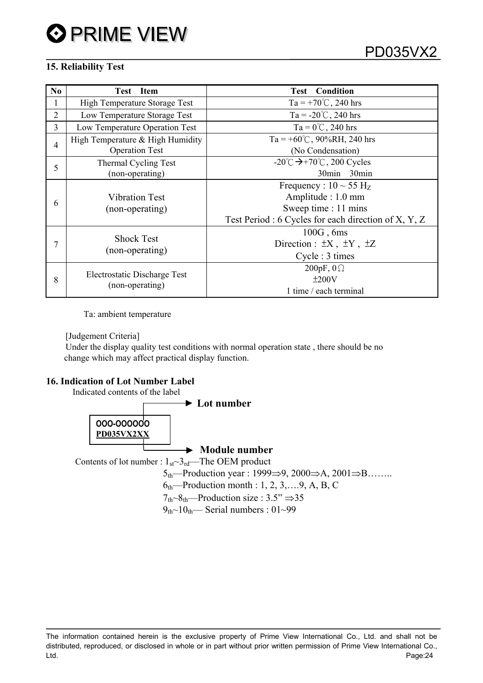## **15. Reliability Test**

| N <sub>0</sub> | <b>Test</b> Item                 | <b>Test</b> Condition                                     |
|----------------|----------------------------------|-----------------------------------------------------------|
|                | High Temperature Storage Test    | Ta = +70 $\degree$ C, 240 hrs                             |
| 2              | Low Temperature Storage Test     | Ta = $-20^{\circ}$ C, 240 hrs                             |
| 3              | Low Temperature Operation Test   | $Ta = 0^{\circ}C$ , 240 hrs                               |
| $\overline{4}$ | High Temperature & High Humidity | Ta = +60°C, 90%RH, 240 hrs                                |
|                | <b>Operation Test</b>            | (No Condensation)                                         |
| 5              | Thermal Cycling Test             | -20 $\degree$ C $\rightarrow$ +70 $\degree$ C, 200 Cycles |
|                | (non-operating)                  | 30min 30min                                               |
|                |                                  | Frequency : $10 \sim 55 \text{ Hz}$                       |
| 6              | <b>Vibration Test</b>            | Amplitude : 1.0 mm                                        |
|                | (non-operating)                  | Sweep time : 11 mins                                      |
|                |                                  | Test Period : 6 Cycles for each direction of X, Y, Z      |
|                |                                  | $100G$ , 6ms                                              |
| 7              | <b>Shock Test</b>                | Direction : $\pm X$ , $\pm Y$ , $\pm Z$                   |
|                | (non-operating)                  | Cycle : 3 times                                           |
|                |                                  | 200pF, $0\Omega$                                          |
| 8              | Electrostatic Discharge Test     | ±200V                                                     |
|                | (non-operating)                  | 1 time / each terminal                                    |

Ta: ambient temperature

[Judgement Criteria]

 Under the display quality test conditions with normal operation state , there should be no change which may affect practical display function.

#### **16. Indication of Lot Number Label**

Indicated contents of the label

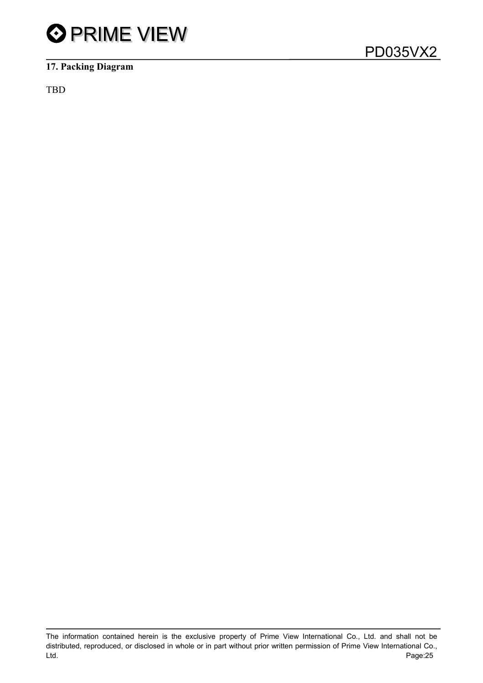

# **17. Packing Diagram**

TBD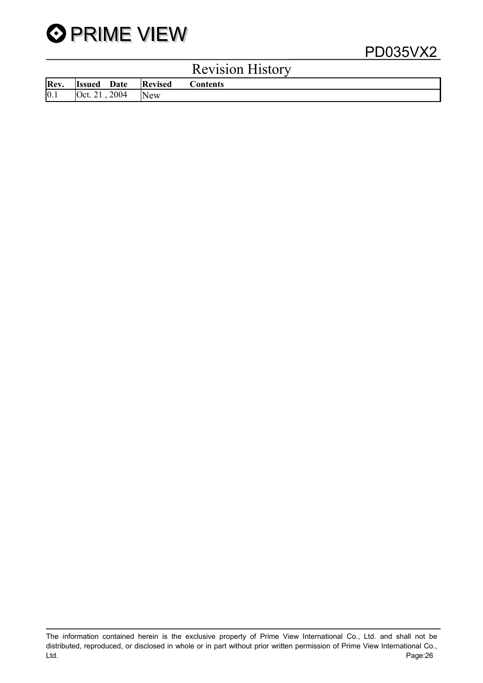

|      |                    |            | <b>Revision History</b> |
|------|--------------------|------------|-------------------------|
| Rev. | <b>Issued</b> Date | Revised    | <b>Contents</b>         |
| 0.1  | Oct. 21, 2004      | <b>New</b> |                         |